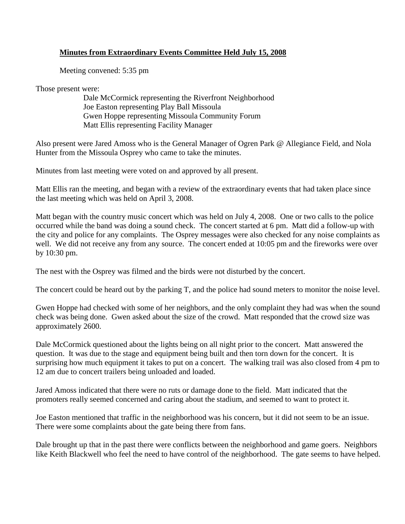## **Minutes from Extraordinary Events Committee Held July 15, 2008**

Meeting convened: 5:35 pm

Those present were:

Dale McCormick representing the Riverfront Neighborhood Joe Easton representing Play Ball Missoula Gwen Hoppe representing Missoula Community Forum Matt Ellis representing Facility Manager

Also present were Jared Amoss who is the General Manager of Ogren Park @ Allegiance Field, and Nola Hunter from the Missoula Osprey who came to take the minutes.

Minutes from last meeting were voted on and approved by all present.

Matt Ellis ran the meeting, and began with a review of the extraordinary events that had taken place since the last meeting which was held on April 3, 2008.

Matt began with the country music concert which was held on July 4, 2008. One or two calls to the police occurred while the band was doing a sound check. The concert started at 6 pm. Matt did a follow-up with the city and police for any complaints. The Osprey messages were also checked for any noise complaints as well. We did not receive any from any source. The concert ended at 10:05 pm and the fireworks were over by 10:30 pm.

The nest with the Osprey was filmed and the birds were not disturbed by the concert.

The concert could be heard out by the parking T, and the police had sound meters to monitor the noise level.

Gwen Hoppe had checked with some of her neighbors, and the only complaint they had was when the sound check was being done. Gwen asked about the size of the crowd. Matt responded that the crowd size was approximately 2600.

Dale McCormick questioned about the lights being on all night prior to the concert. Matt answered the question. It was due to the stage and equipment being built and then torn down for the concert. It is surprising how much equipment it takes to put on a concert. The walking trail was also closed from 4 pm to 12 am due to concert trailers being unloaded and loaded.

Jared Amoss indicated that there were no ruts or damage done to the field. Matt indicated that the promoters really seemed concerned and caring about the stadium, and seemed to want to protect it.

Joe Easton mentioned that traffic in the neighborhood was his concern, but it did not seem to be an issue. There were some complaints about the gate being there from fans.

Dale brought up that in the past there were conflicts between the neighborhood and game goers. Neighbors like Keith Blackwell who feel the need to have control of the neighborhood. The gate seems to have helped.